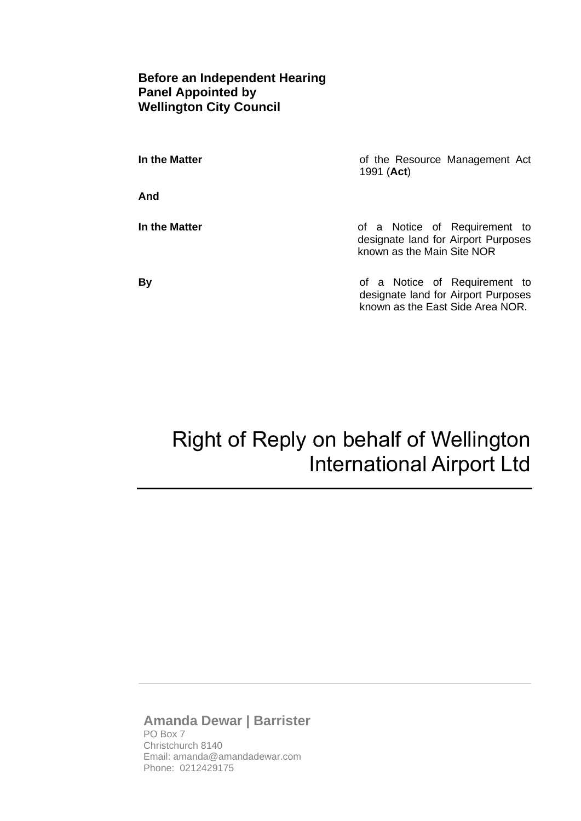## **Before an Independent Hearing Panel Appointed by Wellington City Council**

| In the Matter | of the Resource Management Act<br>1991 ( <b>Act</b> )                                                    |
|---------------|----------------------------------------------------------------------------------------------------------|
| And           |                                                                                                          |
| In the Matter | of a Notice of Requirement to<br>designate land for Airport Purposes<br>known as the Main Site NOR       |
| <b>By</b>     | of a Notice of Requirement to<br>designate land for Airport Purposes<br>known as the East Side Area NOR. |

# Right of Reply on behalf of Wellington International Airport Ltd

# **Amanda Dewar | Barrister** PO Box 7

Christchurch 8140 Email: amanda@amandadewar.com Phone: 0212429175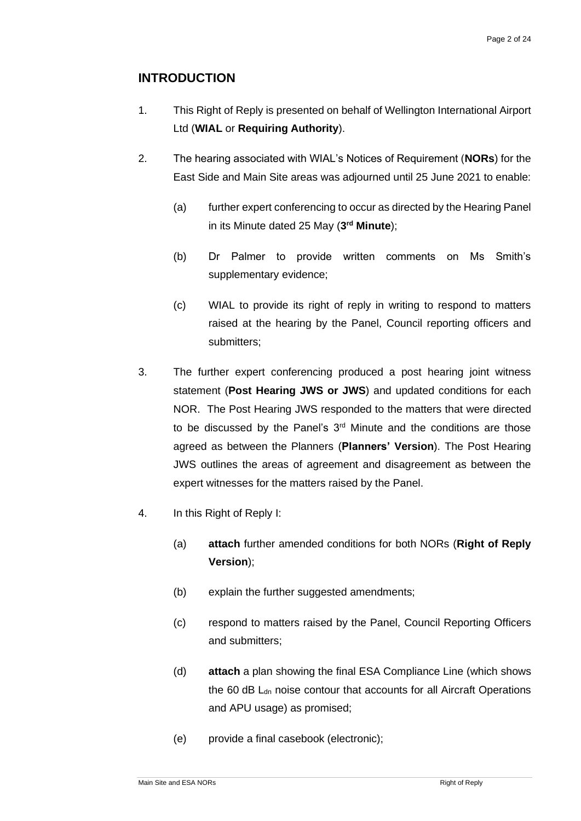# **INTRODUCTION**

- 1. This Right of Reply is presented on behalf of Wellington International Airport Ltd (**WIAL** or **Requiring Authority**).
- 2. The hearing associated with WIAL's Notices of Requirement (**NORs**) for the East Side and Main Site areas was adjourned until 25 June 2021 to enable:
	- (a) further expert conferencing to occur as directed by the Hearing Panel in its Minute dated 25 May (**3 rd Minute**);
	- (b) Dr Palmer to provide written comments on Ms Smith's supplementary evidence;
	- (c) WIAL to provide its right of reply in writing to respond to matters raised at the hearing by the Panel, Council reporting officers and submitters;
- 3. The further expert conferencing produced a post hearing joint witness statement (**Post Hearing JWS or JWS**) and updated conditions for each NOR. The Post Hearing JWS responded to the matters that were directed to be discussed by the Panel's 3<sup>rd</sup> Minute and the conditions are those agreed as between the Planners (**Planners' Version**). The Post Hearing JWS outlines the areas of agreement and disagreement as between the expert witnesses for the matters raised by the Panel.
- 4. In this Right of Reply I:
	- (a) **attach** further amended conditions for both NORs (**Right of Reply Version**);
	- (b) explain the further suggested amendments:
	- (c) respond to matters raised by the Panel, Council Reporting Officers and submitters;
	- (d) **attach** a plan showing the final ESA Compliance Line (which shows the 60 dB  $L<sub>dn</sub>$  noise contour that accounts for all Aircraft Operations and APU usage) as promised;
	- (e) provide a final casebook (electronic);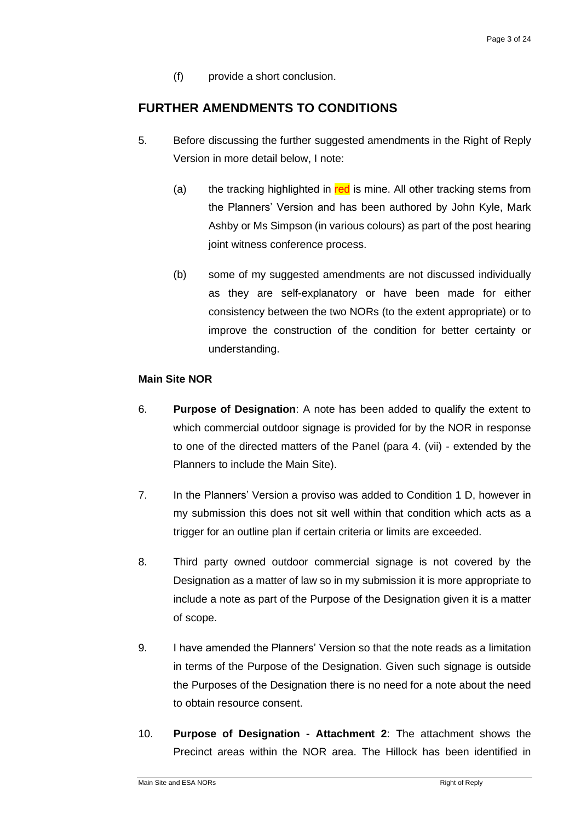(f) provide a short conclusion.

## **FURTHER AMENDMENTS TO CONDITIONS**

- 5. Before discussing the further suggested amendments in the Right of Reply Version in more detail below, I note:
	- (a) the tracking highlighted in  $red$  is mine. All other tracking stems from the Planners' Version and has been authored by John Kyle, Mark Ashby or Ms Simpson (in various colours) as part of the post hearing joint witness conference process.
	- (b) some of my suggested amendments are not discussed individually as they are self-explanatory or have been made for either consistency between the two NORs (to the extent appropriate) or to improve the construction of the condition for better certainty or understanding.

## **Main Site NOR**

- 6. **Purpose of Designation**: A note has been added to qualify the extent to which commercial outdoor signage is provided for by the NOR in response to one of the directed matters of the Panel (para 4. (vii) - extended by the Planners to include the Main Site).
- 7. In the Planners' Version a proviso was added to Condition 1 D, however in my submission this does not sit well within that condition which acts as a trigger for an outline plan if certain criteria or limits are exceeded.
- 8. Third party owned outdoor commercial signage is not covered by the Designation as a matter of law so in my submission it is more appropriate to include a note as part of the Purpose of the Designation given it is a matter of scope.
- 9. I have amended the Planners' Version so that the note reads as a limitation in terms of the Purpose of the Designation. Given such signage is outside the Purposes of the Designation there is no need for a note about the need to obtain resource consent.
- 10. **Purpose of Designation - Attachment 2**: The attachment shows the Precinct areas within the NOR area. The Hillock has been identified in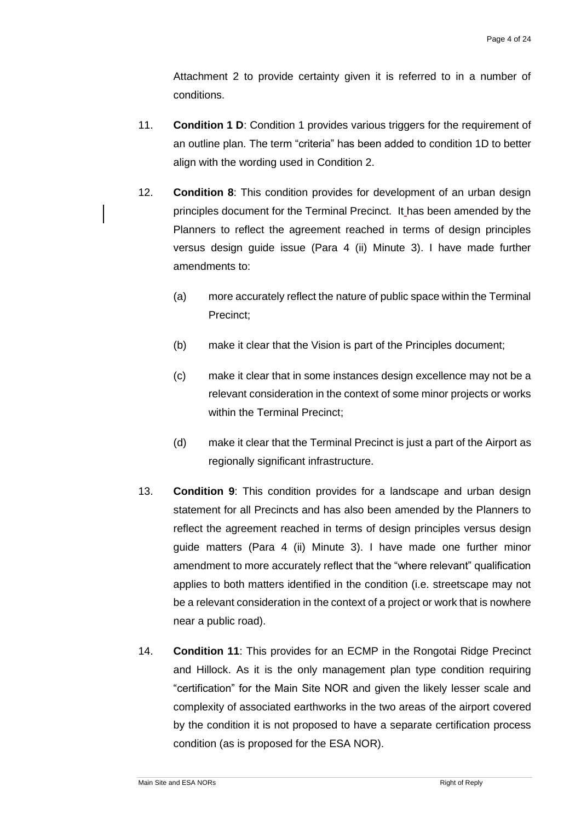Attachment 2 to provide certainty given it is referred to in a number of conditions.

- 11. **Condition 1 D**: Condition 1 provides various triggers for the requirement of an outline plan. The term "criteria" has been added to condition 1D to better align with the wording used in Condition 2.
- 12. **Condition 8**: This condition provides for development of an urban design principles document for the Terminal Precinct. It has been amended by the Planners to reflect the agreement reached in terms of design principles versus design guide issue (Para 4 (ii) Minute 3). I have made further amendments to:
	- (a) more accurately reflect the nature of public space within the Terminal Precinct;
	- (b) make it clear that the Vision is part of the Principles document;
	- (c) make it clear that in some instances design excellence may not be a relevant consideration in the context of some minor projects or works within the Terminal Precinct;
	- (d) make it clear that the Terminal Precinct is just a part of the Airport as regionally significant infrastructure.
- 13. **Condition 9**: This condition provides for a landscape and urban design statement for all Precincts and has also been amended by the Planners to reflect the agreement reached in terms of design principles versus design guide matters (Para 4 (ii) Minute 3). I have made one further minor amendment to more accurately reflect that the "where relevant" qualification applies to both matters identified in the condition (i.e. streetscape may not be a relevant consideration in the context of a project or work that is nowhere near a public road).
- 14. **Condition 11**: This provides for an ECMP in the Rongotai Ridge Precinct and Hillock. As it is the only management plan type condition requiring "certification" for the Main Site NOR and given the likely lesser scale and complexity of associated earthworks in the two areas of the airport covered by the condition it is not proposed to have a separate certification process condition (as is proposed for the ESA NOR).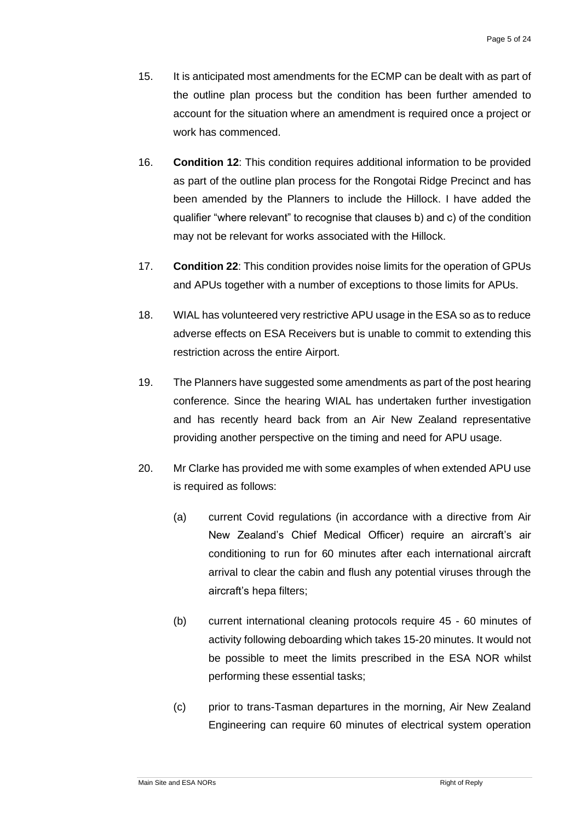- 15. It is anticipated most amendments for the ECMP can be dealt with as part of the outline plan process but the condition has been further amended to account for the situation where an amendment is required once a project or work has commenced.
- 16. **Condition 12**: This condition requires additional information to be provided as part of the outline plan process for the Rongotai Ridge Precinct and has been amended by the Planners to include the Hillock. I have added the qualifier "where relevant" to recognise that clauses b) and c) of the condition may not be relevant for works associated with the Hillock.
- 17. **Condition 22**: This condition provides noise limits for the operation of GPUs and APUs together with a number of exceptions to those limits for APUs.
- 18. WIAL has volunteered very restrictive APU usage in the ESA so as to reduce adverse effects on ESA Receivers but is unable to commit to extending this restriction across the entire Airport.
- 19. The Planners have suggested some amendments as part of the post hearing conference. Since the hearing WIAL has undertaken further investigation and has recently heard back from an Air New Zealand representative providing another perspective on the timing and need for APU usage.
- 20. Mr Clarke has provided me with some examples of when extended APU use is required as follows:
	- (a) current Covid regulations (in accordance with a directive from Air New Zealand's Chief Medical Officer) require an aircraft's air conditioning to run for 60 minutes after each international aircraft arrival to clear the cabin and flush any potential viruses through the aircraft's hepa filters;
	- (b) current international cleaning protocols require 45 60 minutes of activity following deboarding which takes 15-20 minutes. It would not be possible to meet the limits prescribed in the ESA NOR whilst performing these essential tasks;
	- (c) prior to trans-Tasman departures in the morning, Air New Zealand Engineering can require 60 minutes of electrical system operation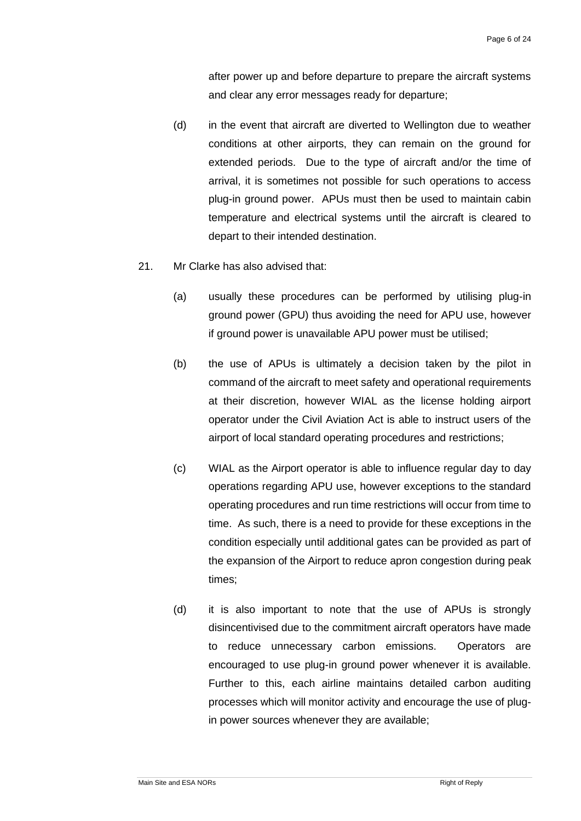after power up and before departure to prepare the aircraft systems and clear any error messages ready for departure;

- (d) in the event that aircraft are diverted to Wellington due to weather conditions at other airports, they can remain on the ground for extended periods. Due to the type of aircraft and/or the time of arrival, it is sometimes not possible for such operations to access plug-in ground power. APUs must then be used to maintain cabin temperature and electrical systems until the aircraft is cleared to depart to their intended destination.
- 21. Mr Clarke has also advised that:
	- (a) usually these procedures can be performed by utilising plug-in ground power (GPU) thus avoiding the need for APU use, however if ground power is unavailable APU power must be utilised;
	- (b) the use of APUs is ultimately a decision taken by the pilot in command of the aircraft to meet safety and operational requirements at their discretion, however WIAL as the license holding airport operator under the Civil Aviation Act is able to instruct users of the airport of local standard operating procedures and restrictions;
	- (c) WIAL as the Airport operator is able to influence regular day to day operations regarding APU use, however exceptions to the standard operating procedures and run time restrictions will occur from time to time. As such, there is a need to provide for these exceptions in the condition especially until additional gates can be provided as part of the expansion of the Airport to reduce apron congestion during peak times;
	- (d) it is also important to note that the use of APUs is strongly disincentivised due to the commitment aircraft operators have made to reduce unnecessary carbon emissions. Operators are encouraged to use plug-in ground power whenever it is available. Further to this, each airline maintains detailed carbon auditing processes which will monitor activity and encourage the use of plugin power sources whenever they are available;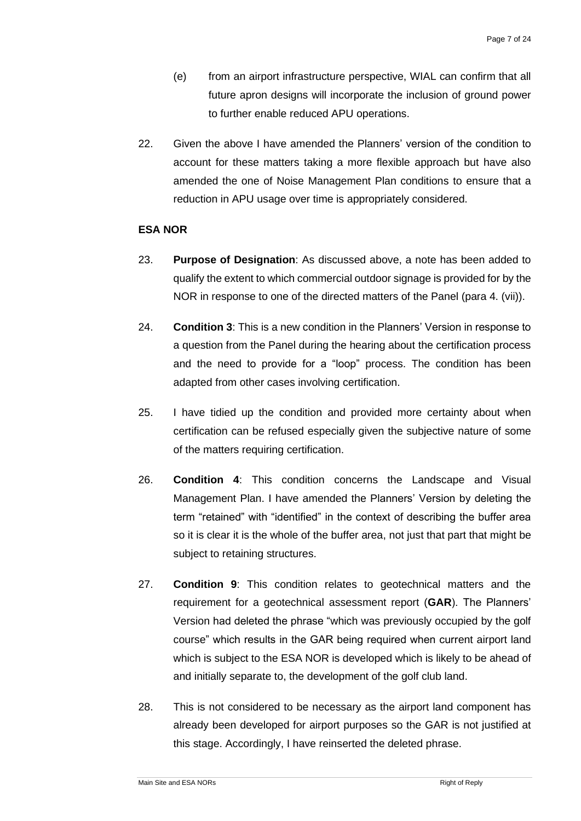- (e) from an airport infrastructure perspective, WIAL can confirm that all future apron designs will incorporate the inclusion of ground power to further enable reduced APU operations.
- 22. Given the above I have amended the Planners' version of the condition to account for these matters taking a more flexible approach but have also amended the one of Noise Management Plan conditions to ensure that a reduction in APU usage over time is appropriately considered.

#### **ESA NOR**

- 23. **Purpose of Designation**: As discussed above, a note has been added to qualify the extent to which commercial outdoor signage is provided for by the NOR in response to one of the directed matters of the Panel (para 4. (vii)).
- 24. **Condition 3**: This is a new condition in the Planners' Version in response to a question from the Panel during the hearing about the certification process and the need to provide for a "loop" process. The condition has been adapted from other cases involving certification.
- 25. I have tidied up the condition and provided more certainty about when certification can be refused especially given the subjective nature of some of the matters requiring certification.
- 26. **Condition 4**: This condition concerns the Landscape and Visual Management Plan. I have amended the Planners' Version by deleting the term "retained" with "identified" in the context of describing the buffer area so it is clear it is the whole of the buffer area, not just that part that might be subject to retaining structures.
- 27. **Condition 9**: This condition relates to geotechnical matters and the requirement for a geotechnical assessment report (**GAR**). The Planners' Version had deleted the phrase "which was previously occupied by the golf course" which results in the GAR being required when current airport land which is subject to the ESA NOR is developed which is likely to be ahead of and initially separate to, the development of the golf club land.
- 28. This is not considered to be necessary as the airport land component has already been developed for airport purposes so the GAR is not justified at this stage. Accordingly, I have reinserted the deleted phrase.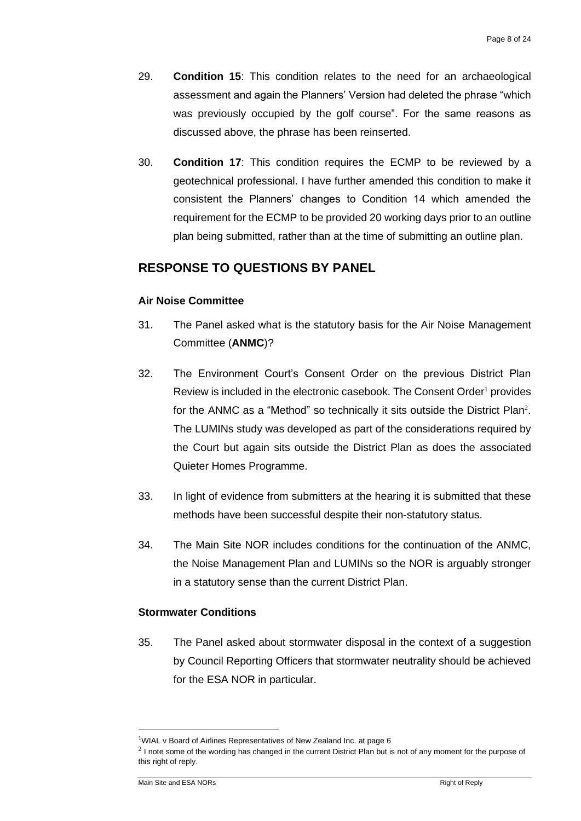- 29. **Condition 15**: This condition relates to the need for an archaeological assessment and again the Planners' Version had deleted the phrase "which was previously occupied by the golf course". For the same reasons as discussed above, the phrase has been reinserted.
- 30. **Condition 17**: This condition requires the ECMP to be reviewed by a geotechnical professional. I have further amended this condition to make it consistent the Planners' changes to Condition 14 which amended the requirement for the ECMP to be provided 20 working days prior to an outline plan being submitted, rather than at the time of submitting an outline plan.

# **RESPONSE TO QUESTIONS BY PANEL**

## **Air Noise Committee**

- 31. The Panel asked what is the statutory basis for the Air Noise Management Committee (**ANMC**)?
- 32. The Environment Court's Consent Order on the previous District Plan Review is included in the electronic casebook. The Consent Order<sup>1</sup> provides for the ANMC as a "Method" so technically it sits outside the District Plan<sup>2</sup>. The LUMINs study was developed as part of the considerations required by the Court but again sits outside the District Plan as does the associated Quieter Homes Programme.
- 33. In light of evidence from submitters at the hearing it is submitted that these methods have been successful despite their non-statutory status.
- 34. The Main Site NOR includes conditions for the continuation of the ANMC, the Noise Management Plan and LUMINs so the NOR is arguably stronger in a statutory sense than the current District Plan.

## **Stormwater Conditions**

35. The Panel asked about stormwater disposal in the context of a suggestion by Council Reporting Officers that stormwater neutrality should be achieved for the ESA NOR in particular.

 $1$ WIAL v Board of Airlines Representatives of New Zealand Inc. at page 6

 $2$  I note some of the wording has changed in the current District Plan but is not of any moment for the purpose of this right of reply.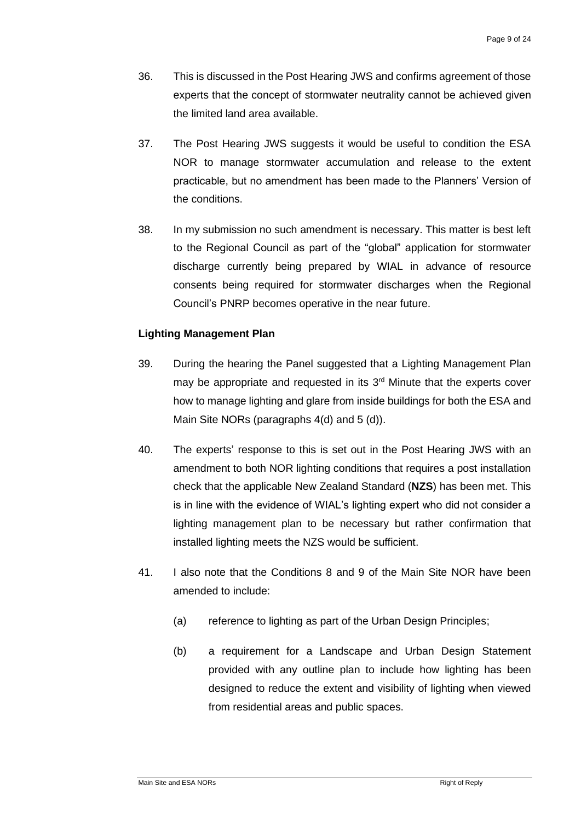- 36. This is discussed in the Post Hearing JWS and confirms agreement of those experts that the concept of stormwater neutrality cannot be achieved given the limited land area available.
- 37. The Post Hearing JWS suggests it would be useful to condition the ESA NOR to manage stormwater accumulation and release to the extent practicable, but no amendment has been made to the Planners' Version of the conditions.
- 38. In my submission no such amendment is necessary. This matter is best left to the Regional Council as part of the "global" application for stormwater discharge currently being prepared by WIAL in advance of resource consents being required for stormwater discharges when the Regional Council's PNRP becomes operative in the near future.

## **Lighting Management Plan**

- 39. During the hearing the Panel suggested that a Lighting Management Plan may be appropriate and requested in its  $3<sup>rd</sup>$  Minute that the experts cover how to manage lighting and glare from inside buildings for both the ESA and Main Site NORs (paragraphs 4(d) and 5 (d)).
- 40. The experts' response to this is set out in the Post Hearing JWS with an amendment to both NOR lighting conditions that requires a post installation check that the applicable New Zealand Standard (**NZS**) has been met. This is in line with the evidence of WIAL's lighting expert who did not consider a lighting management plan to be necessary but rather confirmation that installed lighting meets the NZS would be sufficient.
- 41. I also note that the Conditions 8 and 9 of the Main Site NOR have been amended to include:
	- (a) reference to lighting as part of the Urban Design Principles;
	- (b) a requirement for a Landscape and Urban Design Statement provided with any outline plan to include how lighting has been designed to reduce the extent and visibility of lighting when viewed from residential areas and public spaces.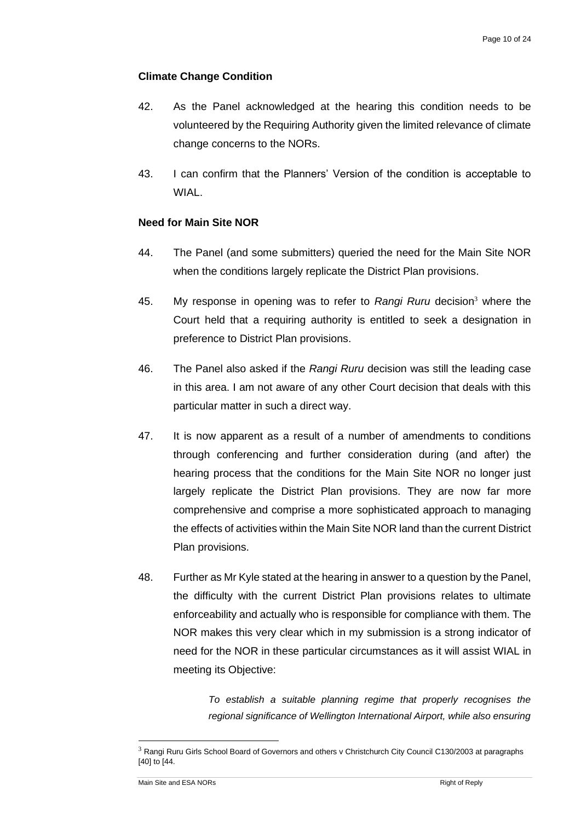## **Climate Change Condition**

- 42. As the Panel acknowledged at the hearing this condition needs to be volunteered by the Requiring Authority given the limited relevance of climate change concerns to the NORs.
- 43. I can confirm that the Planners' Version of the condition is acceptable to WIAL.

## **Need for Main Site NOR**

- 44. The Panel (and some submitters) queried the need for the Main Site NOR when the conditions largely replicate the District Plan provisions.
- 45. My response in opening was to refer to *Rangi Ruru* decision<sup>3</sup> where the Court held that a requiring authority is entitled to seek a designation in preference to District Plan provisions.
- 46. The Panel also asked if the *Rangi Ruru* decision was still the leading case in this area. I am not aware of any other Court decision that deals with this particular matter in such a direct way.
- 47. It is now apparent as a result of a number of amendments to conditions through conferencing and further consideration during (and after) the hearing process that the conditions for the Main Site NOR no longer just largely replicate the District Plan provisions. They are now far more comprehensive and comprise a more sophisticated approach to managing the effects of activities within the Main Site NOR land than the current District Plan provisions.
- 48. Further as Mr Kyle stated at the hearing in answer to a question by the Panel, the difficulty with the current District Plan provisions relates to ultimate enforceability and actually who is responsible for compliance with them. The NOR makes this very clear which in my submission is a strong indicator of need for the NOR in these particular circumstances as it will assist WIAL in meeting its Objective:

*To establish a suitable planning regime that properly recognises the regional significance of Wellington International Airport, while also ensuring* 

<sup>&</sup>lt;sup>3</sup> Rangi Ruru Girls School Board of Governors and others v Christchurch City Council C130/2003 at paragraphs [40] to [44.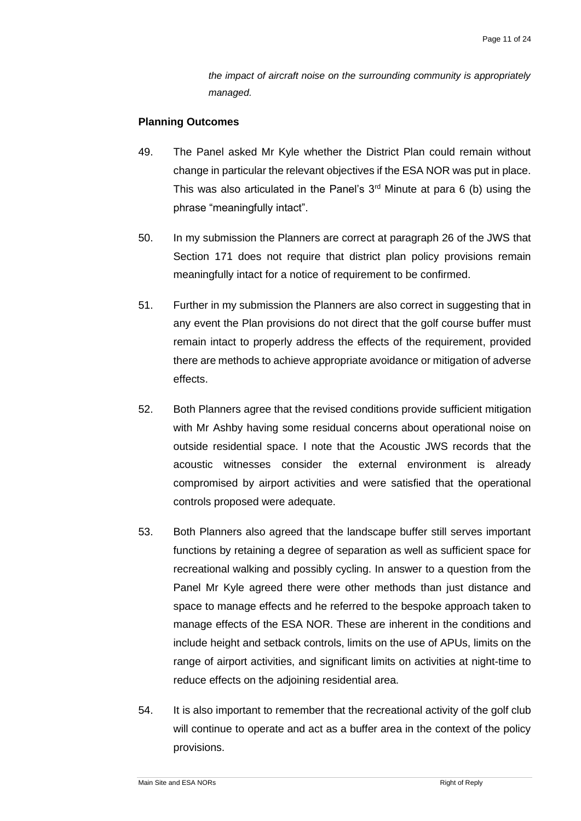*the impact of aircraft noise on the surrounding community is appropriately managed.*

#### **Planning Outcomes**

- 49. The Panel asked Mr Kyle whether the District Plan could remain without change in particular the relevant objectives if the ESA NOR was put in place. This was also articulated in the Panel's  $3<sup>rd</sup>$  Minute at para 6 (b) using the phrase "meaningfully intact".
- 50. In my submission the Planners are correct at paragraph 26 of the JWS that Section 171 does not require that district plan policy provisions remain meaningfully intact for a notice of requirement to be confirmed.
- 51. Further in my submission the Planners are also correct in suggesting that in any event the Plan provisions do not direct that the golf course buffer must remain intact to properly address the effects of the requirement, provided there are methods to achieve appropriate avoidance or mitigation of adverse effects.
- 52. Both Planners agree that the revised conditions provide sufficient mitigation with Mr Ashby having some residual concerns about operational noise on outside residential space. I note that the Acoustic JWS records that the acoustic witnesses consider the external environment is already compromised by airport activities and were satisfied that the operational controls proposed were adequate.
- 53. Both Planners also agreed that the landscape buffer still serves important functions by retaining a degree of separation as well as sufficient space for recreational walking and possibly cycling. In answer to a question from the Panel Mr Kyle agreed there were other methods than just distance and space to manage effects and he referred to the bespoke approach taken to manage effects of the ESA NOR. These are inherent in the conditions and include height and setback controls, limits on the use of APUs, limits on the range of airport activities, and significant limits on activities at night-time to reduce effects on the adjoining residential area.
- 54. It is also important to remember that the recreational activity of the golf club will continue to operate and act as a buffer area in the context of the policy provisions.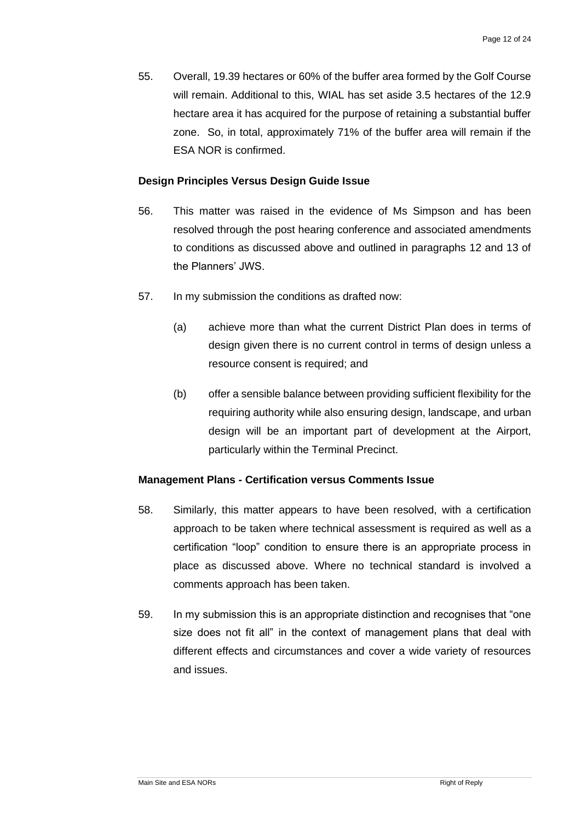55. Overall, 19.39 hectares or 60% of the buffer area formed by the Golf Course will remain. Additional to this, WIAL has set aside 3.5 hectares of the 12.9 hectare area it has acquired for the purpose of retaining a substantial buffer zone. So, in total, approximately 71% of the buffer area will remain if the ESA NOR is confirmed.

#### **Design Principles Versus Design Guide Issue**

- 56. This matter was raised in the evidence of Ms Simpson and has been resolved through the post hearing conference and associated amendments to conditions as discussed above and outlined in paragraphs 12 and 13 of the Planners' JWS.
- 57. In my submission the conditions as drafted now:
	- (a) achieve more than what the current District Plan does in terms of design given there is no current control in terms of design unless a resource consent is required; and
	- (b) offer a sensible balance between providing sufficient flexibility for the requiring authority while also ensuring design, landscape, and urban design will be an important part of development at the Airport, particularly within the Terminal Precinct.

#### **Management Plans - Certification versus Comments Issue**

- 58. Similarly, this matter appears to have been resolved, with a certification approach to be taken where technical assessment is required as well as a certification "loop" condition to ensure there is an appropriate process in place as discussed above. Where no technical standard is involved a comments approach has been taken.
- 59. In my submission this is an appropriate distinction and recognises that "one size does not fit all" in the context of management plans that deal with different effects and circumstances and cover a wide variety of resources and issues.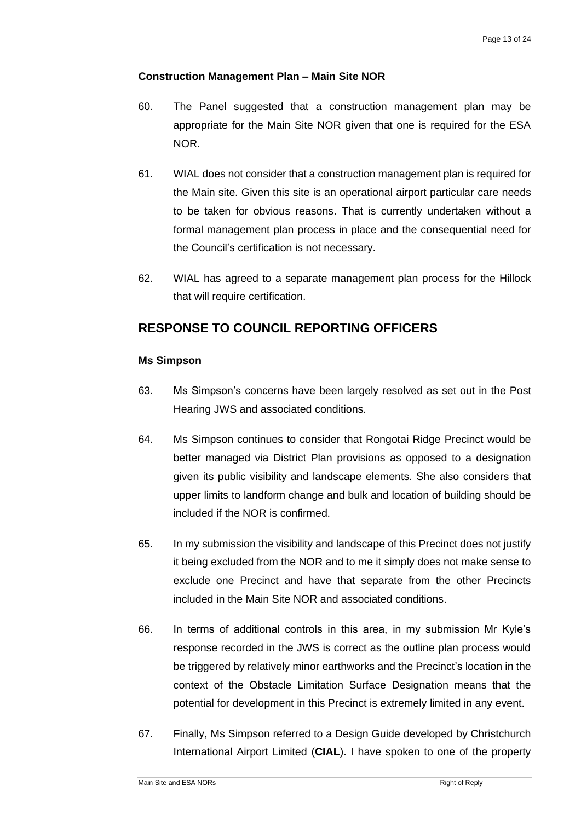#### **Construction Management Plan – Main Site NOR**

- 60. The Panel suggested that a construction management plan may be appropriate for the Main Site NOR given that one is required for the ESA NOR.
- 61. WIAL does not consider that a construction management plan is required for the Main site. Given this site is an operational airport particular care needs to be taken for obvious reasons. That is currently undertaken without a formal management plan process in place and the consequential need for the Council's certification is not necessary.
- 62. WIAL has agreed to a separate management plan process for the Hillock that will require certification.

# **RESPONSE TO COUNCIL REPORTING OFFICERS**

#### **Ms Simpson**

- 63. Ms Simpson's concerns have been largely resolved as set out in the Post Hearing JWS and associated conditions.
- 64. Ms Simpson continues to consider that Rongotai Ridge Precinct would be better managed via District Plan provisions as opposed to a designation given its public visibility and landscape elements. She also considers that upper limits to landform change and bulk and location of building should be included if the NOR is confirmed.
- 65. In my submission the visibility and landscape of this Precinct does not justify it being excluded from the NOR and to me it simply does not make sense to exclude one Precinct and have that separate from the other Precincts included in the Main Site NOR and associated conditions.
- 66. In terms of additional controls in this area, in my submission Mr Kyle's response recorded in the JWS is correct as the outline plan process would be triggered by relatively minor earthworks and the Precinct's location in the context of the Obstacle Limitation Surface Designation means that the potential for development in this Precinct is extremely limited in any event.
- 67. Finally, Ms Simpson referred to a Design Guide developed by Christchurch International Airport Limited (**CIAL**). I have spoken to one of the property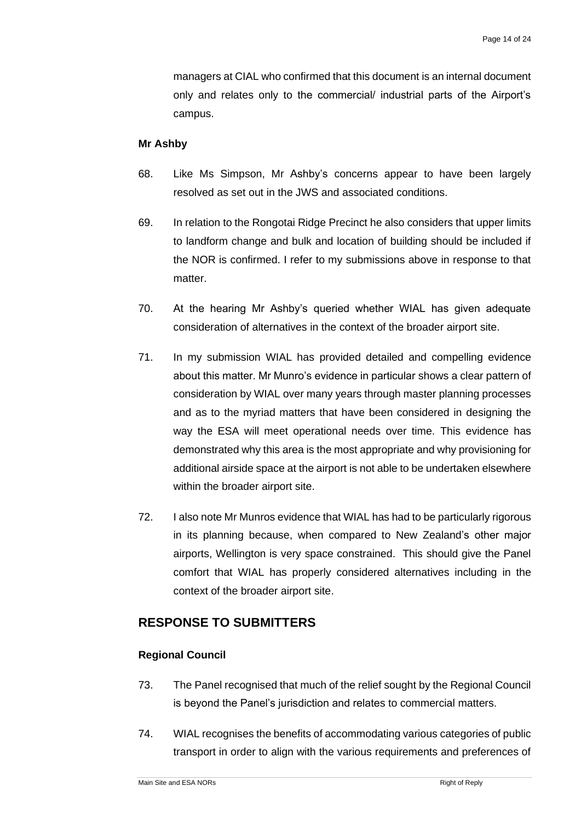managers at CIAL who confirmed that this document is an internal document only and relates only to the commercial/ industrial parts of the Airport's campus.

#### **Mr Ashby**

- 68. Like Ms Simpson, Mr Ashby's concerns appear to have been largely resolved as set out in the JWS and associated conditions.
- 69. In relation to the Rongotai Ridge Precinct he also considers that upper limits to landform change and bulk and location of building should be included if the NOR is confirmed. I refer to my submissions above in response to that matter.
- 70. At the hearing Mr Ashby's queried whether WIAL has given adequate consideration of alternatives in the context of the broader airport site.
- 71. In my submission WIAL has provided detailed and compelling evidence about this matter. Mr Munro's evidence in particular shows a clear pattern of consideration by WIAL over many years through master planning processes and as to the myriad matters that have been considered in designing the way the ESA will meet operational needs over time. This evidence has demonstrated why this area is the most appropriate and why provisioning for additional airside space at the airport is not able to be undertaken elsewhere within the broader airport site.
- 72. I also note Mr Munros evidence that WIAL has had to be particularly rigorous in its planning because, when compared to New Zealand's other major airports, Wellington is very space constrained. This should give the Panel comfort that WIAL has properly considered alternatives including in the context of the broader airport site.

## **RESPONSE TO SUBMITTERS**

#### **Regional Council**

- 73. The Panel recognised that much of the relief sought by the Regional Council is beyond the Panel's jurisdiction and relates to commercial matters.
- 74. WIAL recognises the benefits of accommodating various categories of public transport in order to align with the various requirements and preferences of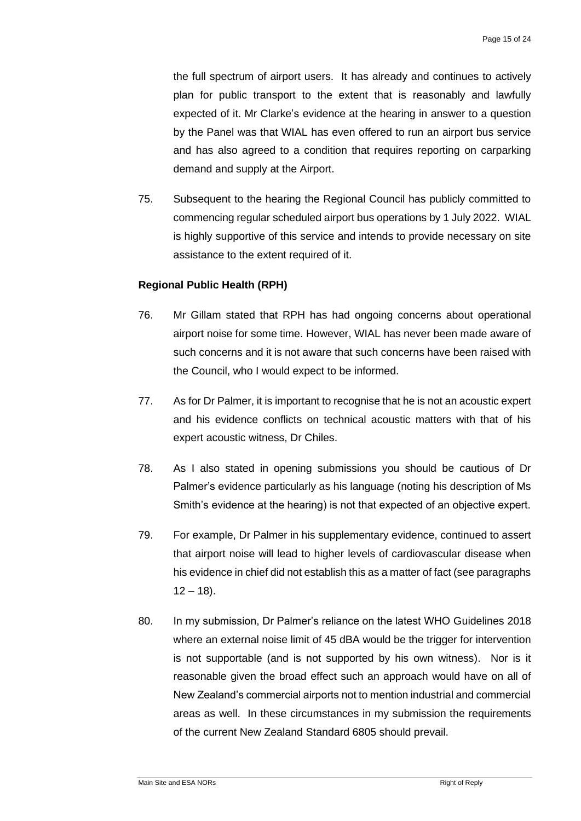the full spectrum of airport users. It has already and continues to actively plan for public transport to the extent that is reasonably and lawfully expected of it. Mr Clarke's evidence at the hearing in answer to a question by the Panel was that WIAL has even offered to run an airport bus service and has also agreed to a condition that requires reporting on carparking demand and supply at the Airport.

75. Subsequent to the hearing the Regional Council has publicly committed to commencing regular scheduled airport bus operations by 1 July 2022. WIAL is highly supportive of this service and intends to provide necessary on site assistance to the extent required of it.

#### **Regional Public Health (RPH)**

- 76. Mr Gillam stated that RPH has had ongoing concerns about operational airport noise for some time. However, WIAL has never been made aware of such concerns and it is not aware that such concerns have been raised with the Council, who I would expect to be informed.
- 77. As for Dr Palmer, it is important to recognise that he is not an acoustic expert and his evidence conflicts on technical acoustic matters with that of his expert acoustic witness, Dr Chiles.
- 78. As I also stated in opening submissions you should be cautious of Dr Palmer's evidence particularly as his language (noting his description of Ms Smith's evidence at the hearing) is not that expected of an objective expert.
- 79. For example, Dr Palmer in his supplementary evidence, continued to assert that airport noise will lead to higher levels of cardiovascular disease when his evidence in chief did not establish this as a matter of fact (see paragraphs  $12 - 18$ ).
- 80. In my submission, Dr Palmer's reliance on the latest WHO Guidelines 2018 where an external noise limit of 45 dBA would be the trigger for intervention is not supportable (and is not supported by his own witness). Nor is it reasonable given the broad effect such an approach would have on all of New Zealand's commercial airports not to mention industrial and commercial areas as well. In these circumstances in my submission the requirements of the current New Zealand Standard 6805 should prevail.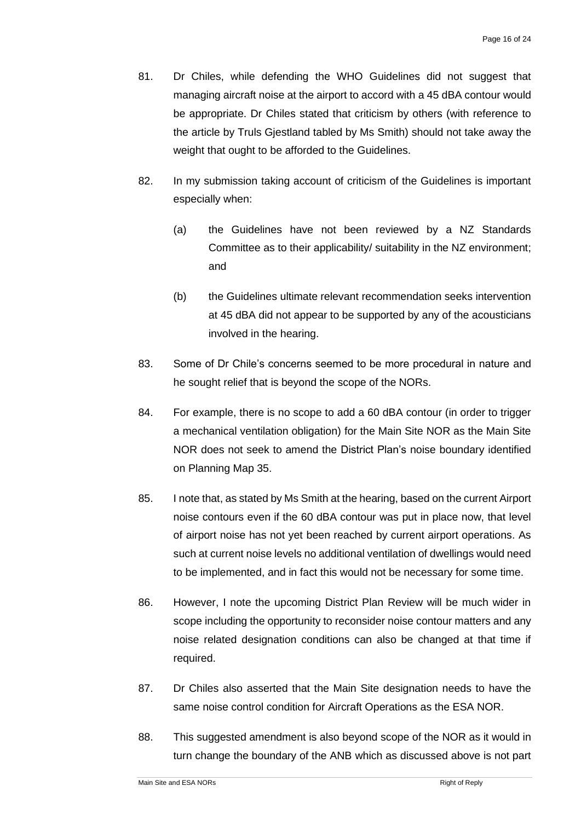- 81. Dr Chiles, while defending the WHO Guidelines did not suggest that managing aircraft noise at the airport to accord with a 45 dBA contour would be appropriate. Dr Chiles stated that criticism by others (with reference to the article by Truls Gjestland tabled by Ms Smith) should not take away the weight that ought to be afforded to the Guidelines.
- 82. In my submission taking account of criticism of the Guidelines is important especially when:
	- (a) the Guidelines have not been reviewed by a NZ Standards Committee as to their applicability/ suitability in the NZ environment; and
	- (b) the Guidelines ultimate relevant recommendation seeks intervention at 45 dBA did not appear to be supported by any of the acousticians involved in the hearing.
- 83. Some of Dr Chile's concerns seemed to be more procedural in nature and he sought relief that is beyond the scope of the NORs.
- 84. For example, there is no scope to add a 60 dBA contour (in order to trigger a mechanical ventilation obligation) for the Main Site NOR as the Main Site NOR does not seek to amend the District Plan's noise boundary identified on Planning Map 35.
- 85. I note that, as stated by Ms Smith at the hearing, based on the current Airport noise contours even if the 60 dBA contour was put in place now, that level of airport noise has not yet been reached by current airport operations. As such at current noise levels no additional ventilation of dwellings would need to be implemented, and in fact this would not be necessary for some time.
- 86. However, I note the upcoming District Plan Review will be much wider in scope including the opportunity to reconsider noise contour matters and any noise related designation conditions can also be changed at that time if required.
- 87. Dr Chiles also asserted that the Main Site designation needs to have the same noise control condition for Aircraft Operations as the ESA NOR.
- 88. This suggested amendment is also beyond scope of the NOR as it would in turn change the boundary of the ANB which as discussed above is not part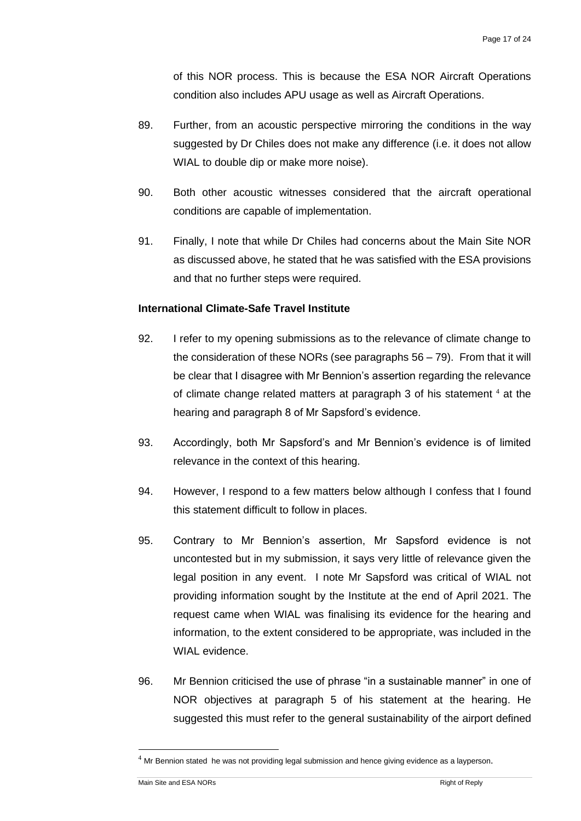of this NOR process. This is because the ESA NOR Aircraft Operations condition also includes APU usage as well as Aircraft Operations.

- 89. Further, from an acoustic perspective mirroring the conditions in the way suggested by Dr Chiles does not make any difference (i.e. it does not allow WIAL to double dip or make more noise).
- 90. Both other acoustic witnesses considered that the aircraft operational conditions are capable of implementation.
- 91. Finally, I note that while Dr Chiles had concerns about the Main Site NOR as discussed above, he stated that he was satisfied with the ESA provisions and that no further steps were required.

## **International Climate-Safe Travel Institute**

- 92. I refer to my opening submissions as to the relevance of climate change to the consideration of these NORs (see paragraphs 56 – 79). From that it will be clear that I disagree with Mr Bennion's assertion regarding the relevance of climate change related matters at paragraph 3 of his statement  $4$  at the hearing and paragraph 8 of Mr Sapsford's evidence.
- 93. Accordingly, both Mr Sapsford's and Mr Bennion's evidence is of limited relevance in the context of this hearing.
- 94. However, I respond to a few matters below although I confess that I found this statement difficult to follow in places.
- 95. Contrary to Mr Bennion's assertion, Mr Sapsford evidence is not uncontested but in my submission, it says very little of relevance given the legal position in any event. I note Mr Sapsford was critical of WIAL not providing information sought by the Institute at the end of April 2021. The request came when WIAL was finalising its evidence for the hearing and information, to the extent considered to be appropriate, was included in the WIAL evidence.
- 96. Mr Bennion criticised the use of phrase "in a sustainable manner" in one of NOR objectives at paragraph 5 of his statement at the hearing. He suggested this must refer to the general sustainability of the airport defined

 $4$  Mr Bennion stated he was not providing legal submission and hence giving evidence as a layperson.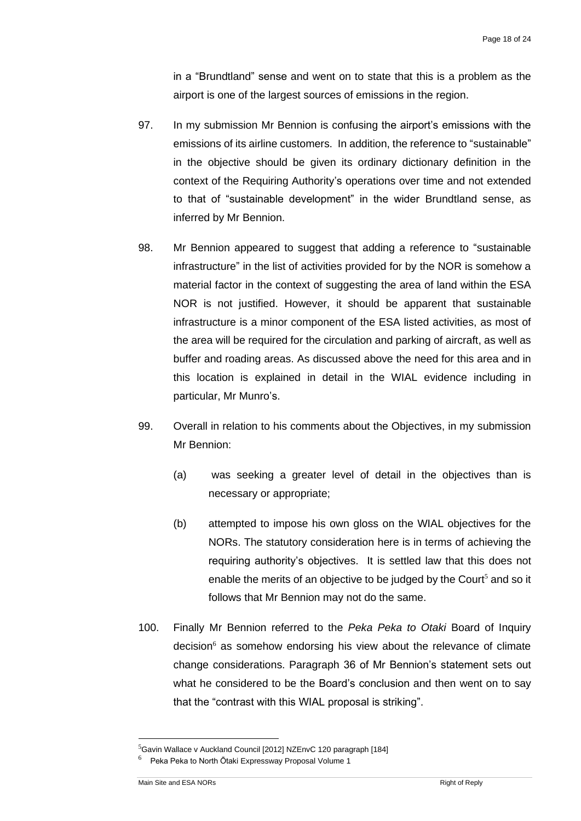in a "Brundtland" sense and went on to state that this is a problem as the airport is one of the largest sources of emissions in the region.

- 97. In my submission Mr Bennion is confusing the airport's emissions with the emissions of its airline customers. In addition, the reference to "sustainable" in the objective should be given its ordinary dictionary definition in the context of the Requiring Authority's operations over time and not extended to that of "sustainable development" in the wider Brundtland sense, as inferred by Mr Bennion.
- 98. Mr Bennion appeared to suggest that adding a reference to "sustainable infrastructure" in the list of activities provided for by the NOR is somehow a material factor in the context of suggesting the area of land within the ESA NOR is not justified. However, it should be apparent that sustainable infrastructure is a minor component of the ESA listed activities, as most of the area will be required for the circulation and parking of aircraft, as well as buffer and roading areas. As discussed above the need for this area and in this location is explained in detail in the WIAL evidence including in particular, Mr Munro's.
- 99. Overall in relation to his comments about the Objectives, in my submission Mr Bennion:
	- (a) was seeking a greater level of detail in the objectives than is necessary or appropriate;
	- (b) attempted to impose his own gloss on the WIAL objectives for the NORs. The statutory consideration here is in terms of achieving the requiring authority's objectives. It is settled law that this does not enable the merits of an objective to be judged by the Court<sup>5</sup> and so it follows that Mr Bennion may not do the same.
- 100. Finally Mr Bennion referred to the *Peka Peka to Otaki* Board of Inquiry decision $<sup>6</sup>$  as somehow endorsing his view about the relevance of climate</sup> change considerations. Paragraph 36 of Mr Bennion's statement sets out what he considered to be the Board's conclusion and then went on to say that the "contrast with this WIAL proposal is striking".

 $5$ Gavin Wallace v Auckland Council [2012] NZEnvC 120 paragraph [184]

<sup>6</sup> Peka Peka to North Ōtaki Expressway Proposal Volume 1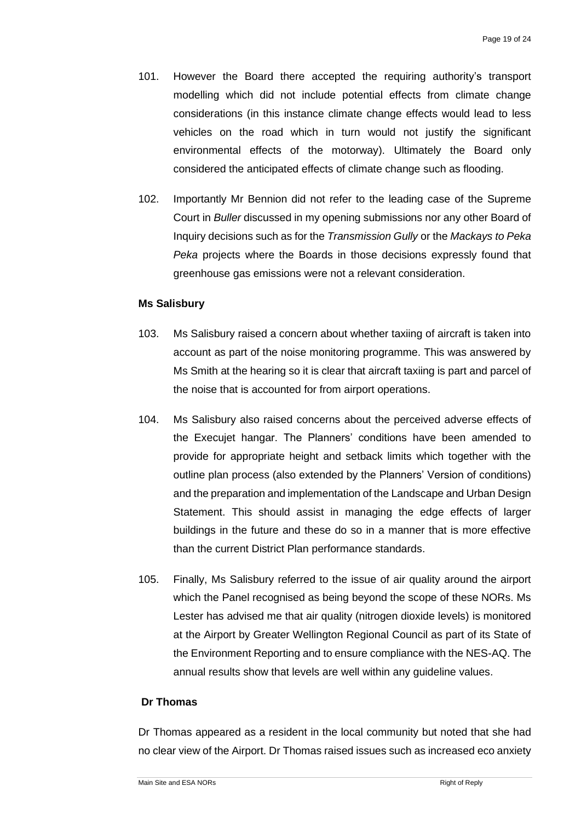- 101. However the Board there accepted the requiring authority's transport modelling which did not include potential effects from climate change considerations (in this instance climate change effects would lead to less vehicles on the road which in turn would not justify the significant environmental effects of the motorway). Ultimately the Board only considered the anticipated effects of climate change such as flooding.
- 102. Importantly Mr Bennion did not refer to the leading case of the Supreme Court in *Buller* discussed in my opening submissions nor any other Board of Inquiry decisions such as for the *Transmission Gully* or the *Mackays to Peka Peka* projects where the Boards in those decisions expressly found that greenhouse gas emissions were not a relevant consideration.

#### **Ms Salisbury**

- 103. Ms Salisbury raised a concern about whether taxiing of aircraft is taken into account as part of the noise monitoring programme. This was answered by Ms Smith at the hearing so it is clear that aircraft taxiing is part and parcel of the noise that is accounted for from airport operations.
- 104. Ms Salisbury also raised concerns about the perceived adverse effects of the Execujet hangar. The Planners' conditions have been amended to provide for appropriate height and setback limits which together with the outline plan process (also extended by the Planners' Version of conditions) and the preparation and implementation of the Landscape and Urban Design Statement. This should assist in managing the edge effects of larger buildings in the future and these do so in a manner that is more effective than the current District Plan performance standards.
- 105. Finally, Ms Salisbury referred to the issue of air quality around the airport which the Panel recognised as being beyond the scope of these NORs. Ms Lester has advised me that air quality (nitrogen dioxide levels) is monitored at the Airport by Greater Wellington Regional Council as part of its State of the Environment Reporting and to ensure compliance with the NES-AQ. The annual results show that levels are well within any guideline values.

#### **Dr Thomas**

Dr Thomas appeared as a resident in the local community but noted that she had no clear view of the Airport. Dr Thomas raised issues such as increased eco anxiety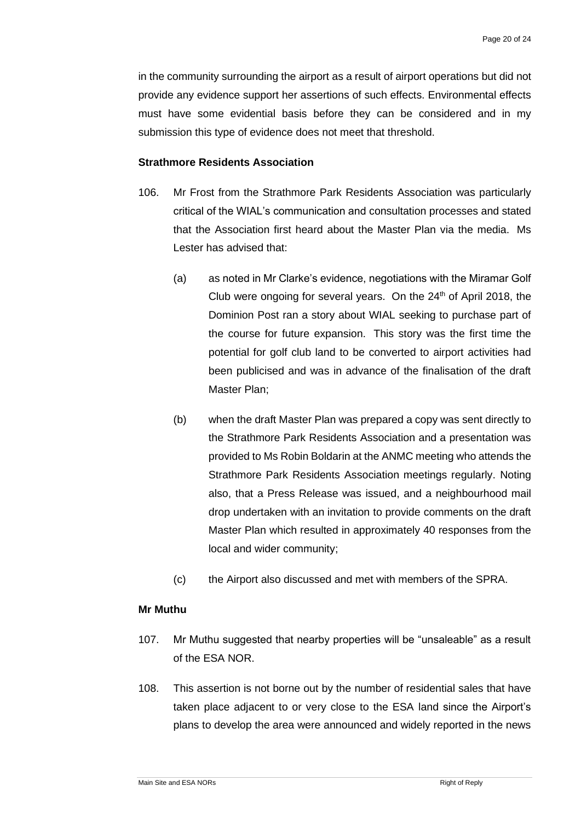in the community surrounding the airport as a result of airport operations but did not provide any evidence support her assertions of such effects. Environmental effects must have some evidential basis before they can be considered and in my submission this type of evidence does not meet that threshold.

#### **Strathmore Residents Association**

- 106. Mr Frost from the Strathmore Park Residents Association was particularly critical of the WIAL's communication and consultation processes and stated that the Association first heard about the Master Plan via the media. Ms Lester has advised that:
	- (a) as noted in Mr Clarke's evidence, negotiations with the Miramar Golf Club were ongoing for several years. On the  $24<sup>th</sup>$  of April 2018, the Dominion Post ran a story about WIAL seeking to purchase part of the course for future expansion. This story was the first time the potential for golf club land to be converted to airport activities had been publicised and was in advance of the finalisation of the draft Master Plan;
	- (b) when the draft Master Plan was prepared a copy was sent directly to the Strathmore Park Residents Association and a presentation was provided to Ms Robin Boldarin at the ANMC meeting who attends the Strathmore Park Residents Association meetings regularly. Noting also, that a Press Release was issued, and a neighbourhood mail drop undertaken with an invitation to provide comments on the draft Master Plan which resulted in approximately 40 responses from the local and wider community;
	- (c) the Airport also discussed and met with members of the SPRA.

#### **Mr Muthu**

- 107. Mr Muthu suggested that nearby properties will be "unsaleable" as a result of the ESA NOR.
- 108. This assertion is not borne out by the number of residential sales that have taken place adjacent to or very close to the ESA land since the Airport's plans to develop the area were announced and widely reported in the news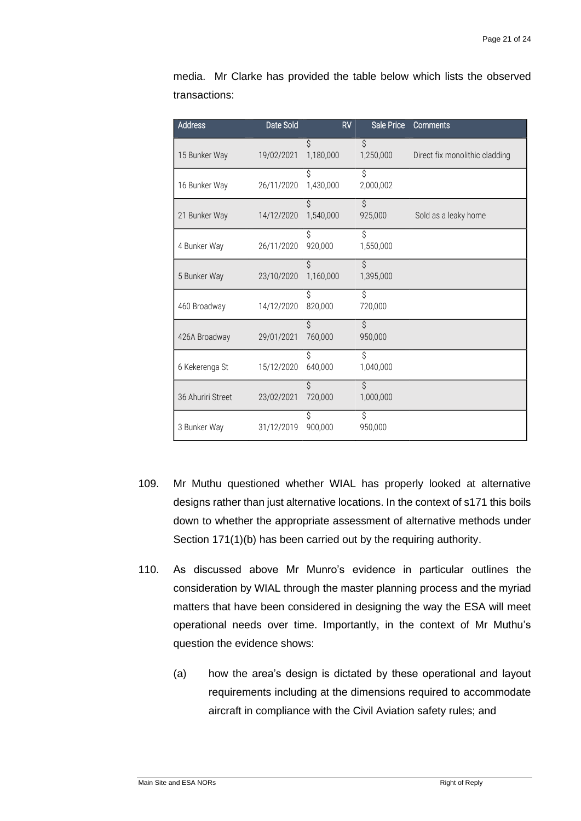| <b>Address</b>    | Date Sold  | <b>RV</b>       | Sale Price                 | Comments                       |
|-------------------|------------|-----------------|----------------------------|--------------------------------|
| 15 Bunker Way     | 19/02/2021 | Ś<br>1,180,000  | $\mathcal{S}$<br>1,250,000 | Direct fix monolithic cladding |
| 16 Bunker Way     | 26/11/2020 | Ś<br>1,430,000  | Ś<br>2,000,002             |                                |
| 21 Bunker Way     | 14/12/2020 | Ś<br>1,540,000  | Ś<br>925,000               | Sold as a leaky home           |
| 4 Bunker Way      | 26/11/2020 | Ś<br>920,000    | Ś<br>1,550,000             |                                |
| 5 Bunker Way      | 23/10/2020 | Ś.<br>1,160,000 | $\mathcal{S}$<br>1,395,000 |                                |
| 460 Broadway      | 14/12/2020 | Ś<br>820,000    | Ś.<br>720,000              |                                |
| 426A Broadway     | 29/01/2021 | Ś<br>760,000    | $\mathcal{S}$<br>950,000   |                                |
| 6 Kekerenga St    | 15/12/2020 | Ś<br>640,000    | Ś.<br>1,040,000            |                                |
| 36 Ahuriri Street | 23/02/2021 | Ś<br>720,000    | $\mathsf{S}$<br>1,000,000  |                                |
| 3 Bunker Way      | 31/12/2019 | Ŝ<br>900,000    | Ś.<br>950,000              |                                |

media. Mr Clarke has provided the table below which lists the observed transactions:

- 109. Mr Muthu questioned whether WIAL has properly looked at alternative designs rather than just alternative locations. In the context of s171 this boils down to whether the appropriate assessment of alternative methods under Section 171(1)(b) has been carried out by the requiring authority.
- 110. As discussed above Mr Munro's evidence in particular outlines the consideration by WIAL through the master planning process and the myriad matters that have been considered in designing the way the ESA will meet operational needs over time. Importantly, in the context of Mr Muthu's question the evidence shows:
	- (a) how the area's design is dictated by these operational and layout requirements including at the dimensions required to accommodate aircraft in compliance with the Civil Aviation safety rules; and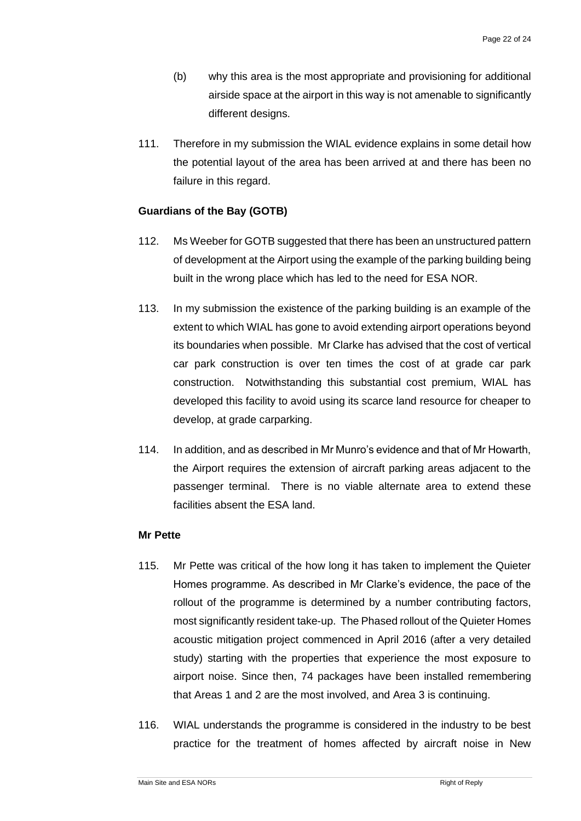- (b) why this area is the most appropriate and provisioning for additional airside space at the airport in this way is not amenable to significantly different designs.
- 111. Therefore in my submission the WIAL evidence explains in some detail how the potential layout of the area has been arrived at and there has been no failure in this regard.

## **Guardians of the Bay (GOTB)**

- 112. Ms Weeber for GOTB suggested that there has been an unstructured pattern of development at the Airport using the example of the parking building being built in the wrong place which has led to the need for ESA NOR.
- 113. In my submission the existence of the parking building is an example of the extent to which WIAL has gone to avoid extending airport operations beyond its boundaries when possible. Mr Clarke has advised that the cost of vertical car park construction is over ten times the cost of at grade car park construction. Notwithstanding this substantial cost premium, WIAL has developed this facility to avoid using its scarce land resource for cheaper to develop, at grade carparking.
- 114. In addition, and as described in Mr Munro's evidence and that of Mr Howarth, the Airport requires the extension of aircraft parking areas adjacent to the passenger terminal. There is no viable alternate area to extend these facilities absent the ESA land.

#### **Mr Pette**

- 115. Mr Pette was critical of the how long it has taken to implement the Quieter Homes programme. As described in Mr Clarke's evidence, the pace of the rollout of the programme is determined by a number contributing factors, most significantly resident take-up. The Phased rollout of the Quieter Homes acoustic mitigation project commenced in April 2016 (after a very detailed study) starting with the properties that experience the most exposure to airport noise. Since then, 74 packages have been installed remembering that Areas 1 and 2 are the most involved, and Area 3 is continuing.
- 116. WIAL understands the programme is considered in the industry to be best practice for the treatment of homes affected by aircraft noise in New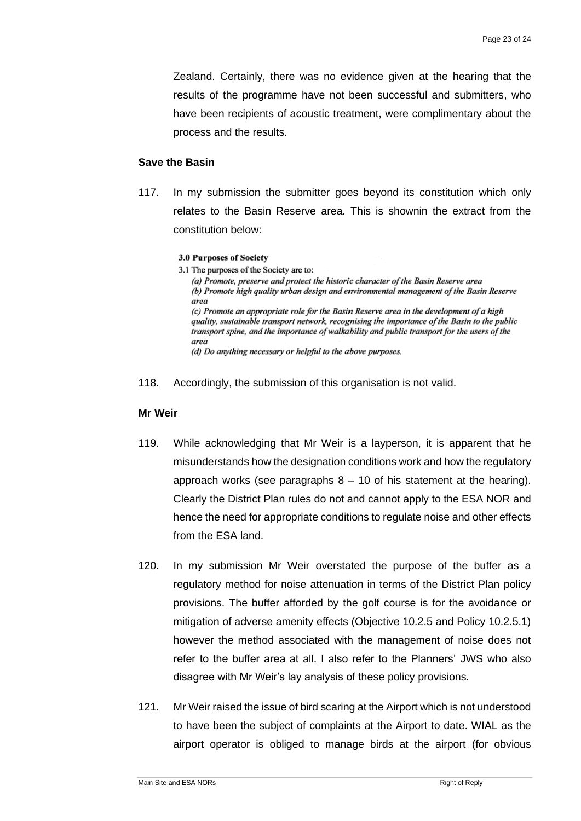Zealand. Certainly, there was no evidence given at the hearing that the results of the programme have not been successful and submitters, who have been recipients of acoustic treatment, were complimentary about the process and the results.

#### **Save the Basin**

117. In my submission the submitter goes beyond its constitution which only relates to the Basin Reserve area. This is shownin the extract from the constitution below:

#### **3.0 Purposes of Society**

3.1 The purposes of the Society are to: (a) Promote, preserve and protect the historic character of the Basin Reserve area (b) Promote high quality urban design and environmental management of the Basin Reserve area (c) Promote an appropriate role for the Basin Reserve area in the development of a high quality, sustainable transport network, recognising the importance of the Basin to the public transport spine, and the importance of walkability and public transport for the users of the area (d) Do anything necessary or helpful to the above purposes.

118. Accordingly, the submission of this organisation is not valid.

#### **Mr Weir**

- 119. While acknowledging that Mr Weir is a layperson, it is apparent that he misunderstands how the designation conditions work and how the regulatory approach works (see paragraphs  $8 - 10$  of his statement at the hearing). Clearly the District Plan rules do not and cannot apply to the ESA NOR and hence the need for appropriate conditions to regulate noise and other effects from the ESA land.
- 120. In my submission Mr Weir overstated the purpose of the buffer as a regulatory method for noise attenuation in terms of the District Plan policy provisions. The buffer afforded by the golf course is for the avoidance or mitigation of adverse amenity effects (Objective 10.2.5 and Policy 10.2.5.1) however the method associated with the management of noise does not refer to the buffer area at all. I also refer to the Planners' JWS who also disagree with Mr Weir's lay analysis of these policy provisions.
- 121. Mr Weir raised the issue of bird scaring at the Airport which is not understood to have been the subject of complaints at the Airport to date. WIAL as the airport operator is obliged to manage birds at the airport (for obvious